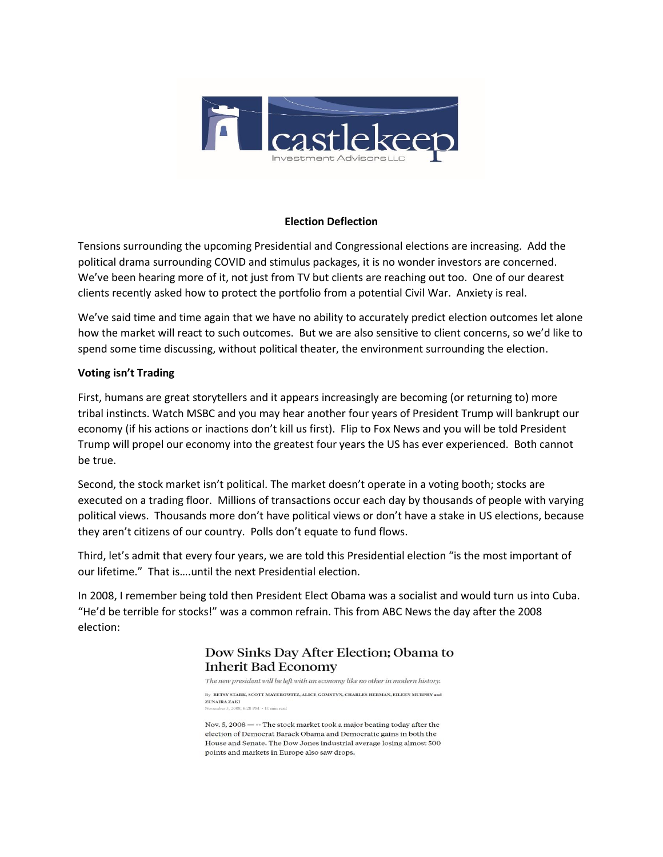

#### **Election Deflection**

Tensions surrounding the upcoming Presidential and Congressional elections are increasing. Add the political drama surrounding COVID and stimulus packages, it is no wonder investors are concerned. We've been hearing more of it, not just from TV but clients are reaching out too. One of our dearest clients recently asked how to protect the portfolio from a potential Civil War. Anxiety is real.

We've said time and time again that we have no ability to accurately predict election outcomes let alone how the market will react to such outcomes. But we are also sensitive to client concerns, so we'd like to spend some time discussing, without political theater, the environment surrounding the election.

### **Voting isn't Trading**

First, humans are great storytellers and it appears increasingly are becoming (or returning to) more tribal instincts. Watch MSBC and you may hear another four years of President Trump will bankrupt our economy (if his actions or inactions don't kill us first). Flip to Fox News and you will be told President Trump will propel our economy into the greatest four years the US has ever experienced. Both cannot be true.

Second, the stock market isn't political. The market doesn't operate in a voting booth; stocks are executed on a trading floor. Millions of transactions occur each day by thousands of people with varying political views. Thousands more don't have political views or don't have a stake in US elections, because they aren't citizens of our country. Polls don't equate to fund flows.

Third, let's admit that every four years, we are told this Presidential election "is the most important of our lifetime." That is….until the next Presidential election.

In 2008, I remember being told then President Elect Obama was a socialist and would turn us into Cuba. "He'd be terrible for stocks!" was a common refrain. This from ABC News the day after the 2008 election:

> Dow Sinks Day After Election; Obama to **Inherit Bad Economy**

The new president will be left with an economy like no other in modern history. By BETSY STARK, SCOTT MAYEROWITZ, ALICE GOMSTYN, CHARLES HERMAN, EILEEN MURPHY and ZUNAIRA ZAKI **CONTRACTOR** 

Nov. 5,  $2008$  —  $-$ - The stock market took a major beating today after the election of Democrat Barack Obama and Democratic gains in both the House and Senate. The Dow Jones industrial average losing almost 500 points and markets in Europe also saw drops.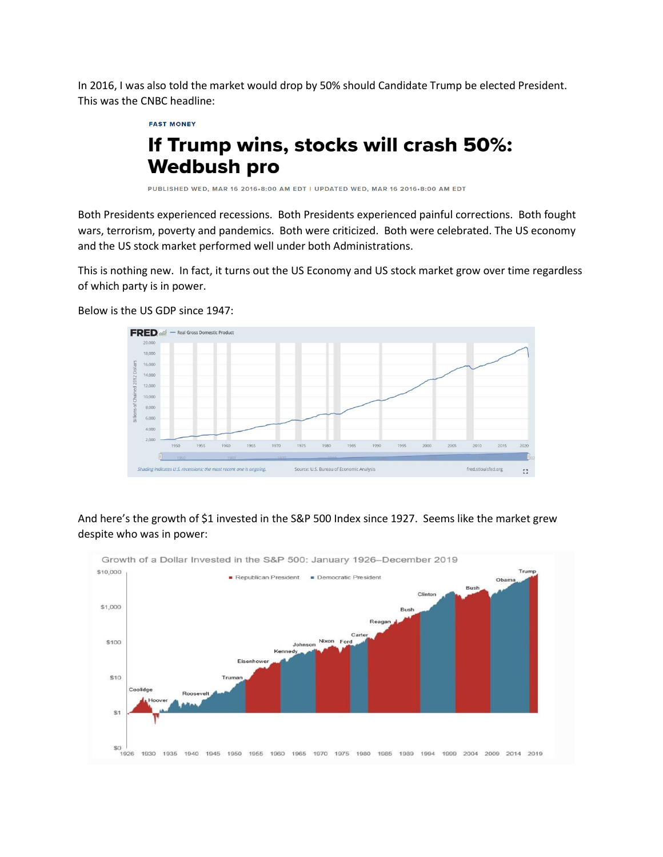In 2016, I was also told the market would drop by 50% should Candidate Trump be elected President. This was the CNBC headline:

**FAST MONEY** 

# If Trump wins, stocks will crash 50%: **Wedbush pro**

PUBLISHED WED, MAR 16 2016-8:00 AM EDT | UPDATED WED, MAR 16 2016-8:00 AM EDT

Both Presidents experienced recessions. Both Presidents experienced painful corrections. Both fought wars, terrorism, poverty and pandemics. Both were criticized. Both were celebrated. The US economy and the US stock market performed well under both Administrations.

This is nothing new. In fact, it turns out the US Economy and US stock market grow over time regardless of which party is in power.



Below is the US GDP since 1947:

## And here's the growth of \$1 invested in the S&P 500 Index since 1927. Seems like the market grew despite who was in power:

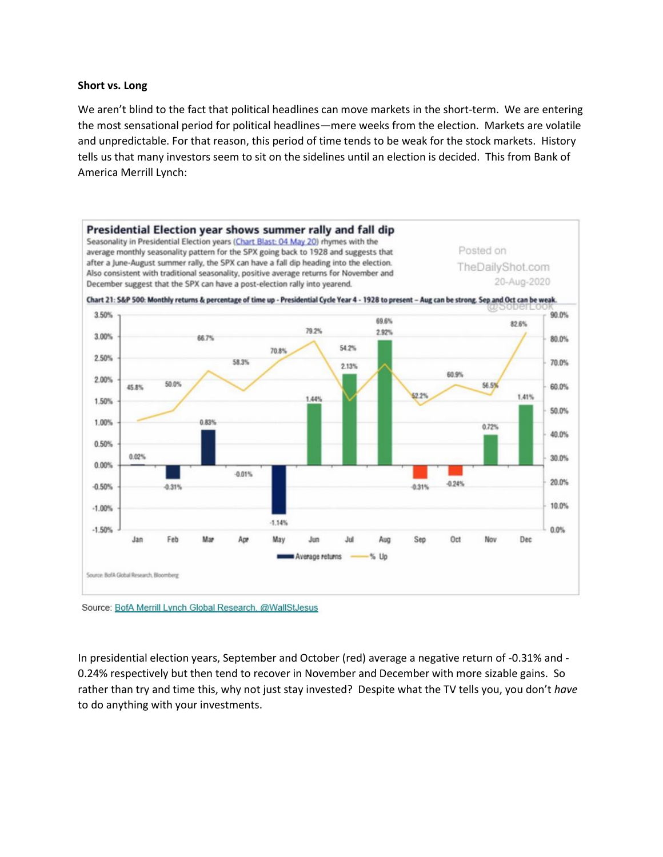#### **Short vs. Long**

We aren't blind to the fact that political headlines can move markets in the short-term. We are entering the most sensational period for political headlines—mere weeks from the election. Markets are volatile and unpredictable. For that reason, this period of time tends to be weak for the stock markets. History tells us that many investors seem to sit on the sidelines until an election is decided. This from Bank of America Merrill Lynch:



Source: BofA Merrill Lynch Global Research, @WallStJesus

In presidential election years, September and October (red) average a negative return of -0.31% and - 0.24% respectively but then tend to recover in November and December with more sizable gains. So rather than try and time this, why not just stay invested? Despite what the TV tells you, you don't *have* to do anything with your investments.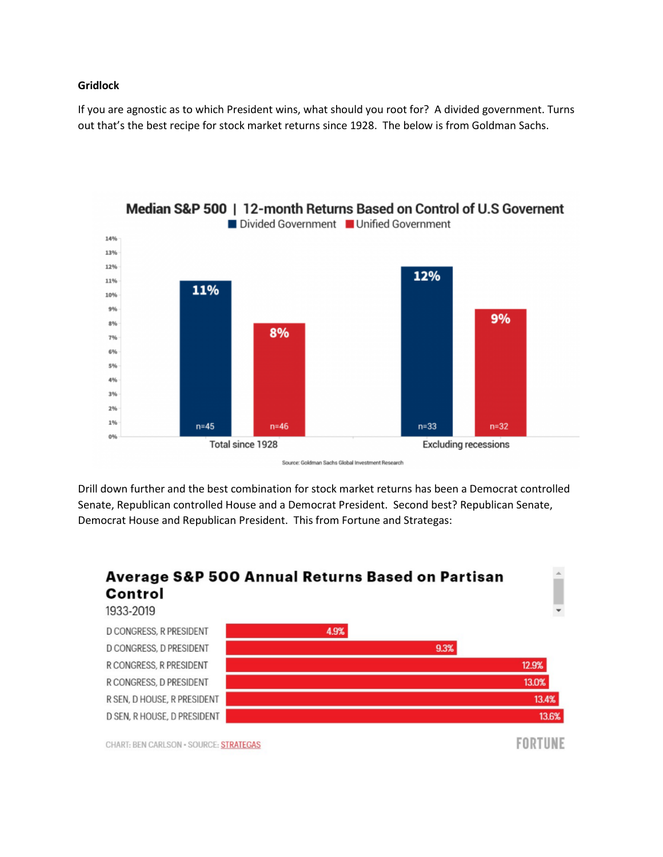#### **Gridlock**

If you are agnostic as to which President wins, what should you root for? A divided government. Turns out that's the best recipe for stock market returns since 1928. The below is from Goldman Sachs.



Source: Goldman Sachs Global Investment Research

Drill down further and the best combination for stock market returns has been a Democrat controlled Senate, Republican controlled House and a Democrat President. Second best? Republican Senate, Democrat House and Republican President. This from Fortune and Strategas: